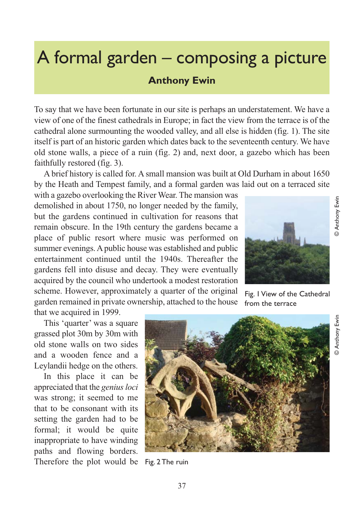## A formal garden – composing a picture

## **Anthony Ewin**

To say that we have been fortunate in our site is perhaps an understatement. We have a view of one of the finest cathedrals in Europe; in fact the view from the terrace is of the cathedral alone surmounting the wooded valley, and all else is hidden (fig. 1). The site itself is part of an historic garden which dates back to the seventeenth century. We have old stone walls, a piece of a ruin (fig. 2) and, next door, a gazebo which has been faithfully restored (fig. 3).

A brief history is called for. A small mansion was built at Old Durham in about 1650 by the Heath and Tempest family, and a formal garden was laid out on a terraced site

with a gazebo overlooking the River Wear. The mansion was demolished in about 1750, no longer needed by the family, but the gardens continued in cultivation for reasons that remain obscure. In the 19th century the gardens became a place of public resort where music was performed on summer evenings. A public house was established and public entertainment continued until the 1940s. Thereafter the gardens fell into disuse and decay. They were eventually acquired by the council who undertook a modest restoration scheme. However, approximately a quarter of the original garden remained in private ownership, attached to the house



Fig. 1 View of the Cathedral from the terrace

that we acquired in 1999.

This 'quarter' was a square grassed plot 30m by 30m with old stone walls on two sides and a wooden fence and a Leylandii hedge on the others.

In this place it can be appreciated that the *genius loci* was strong; it seemed to me that to be consonant with its setting the garden had to be formal; it would be quite inappropriate to have winding paths and flowing borders. Therefore the plot would be Fig. 2 The ruin



Anthony Ewin © Anthony Ewin

© Anthony Ewin

**D** Anthony Ewin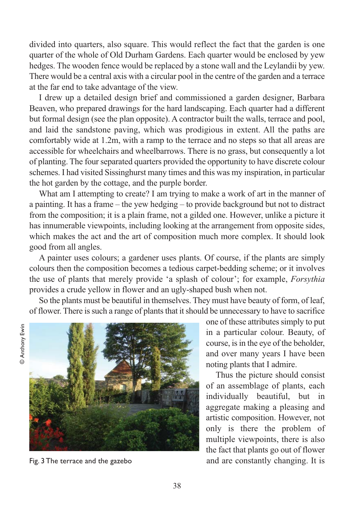divided into quarters, also square. This would reflect the fact that the garden is one quarter of the whole of Old Durham Gardens. Each quarter would be enclosed by yew hedges. The wooden fence would be replaced by a stone wall and the Leylandii by yew. There would be a central axis with a circular pool in the centre of the garden and a terrace at the far end to take advantage of the view.

I drew up a detailed design brief and commissioned a garden designer, Barbara Beaven, who prepared drawings for the hard landscaping. Each quarter had a different but formal design (see the plan opposite). A contractor built the walls, terrace and pool, and laid the sandstone paving, which was prodigious in extent. All the paths are comfortably wide at 1.2m, with a ramp to the terrace and no steps so that all areas are accessible for wheelchairs and wheelbarrows. There is no grass, but consequently a lot of planting. The four separated quarters provided the opportunity to have discrete colour schemes. I had visited Sissinghurst many times and this was my inspiration, in particular the hot garden by the cottage, and the purple border.

What am I attempting to create? I am trying to make a work of art in the manner of a painting. It has a frame – the yew hedging – to provide background but not to distract from the composition; it is a plain frame, not a gilded one. However, unlike a picture it has innumerable viewpoints, including looking at the arrangement from opposite sides, which makes the act and the art of composition much more complex. It should look good from all angles.

A painter uses colours; a gardener uses plants. Of course, if the plants are simply colours then the composition becomes a tedious carpet-bedding scheme; or it involves the use of plants that merely provide 'a splash of colour'; for example, *Forsythia* provides a crude yellow in flower and an ugly-shaped bush when not.

So the plants must be beautiful in themselves. They must have beauty of form, of leaf, of flower. There is such a range of plants that it should be unnecessary to have to sacrifice





Fig. 3 The terrace and the gazebo

one of these attributes simply to put in a particular colour. Beauty, of course, is in the eye of the beholder, and over many years I have been noting plants that I admire.

Thus the picture should consist of an assemblage of plants, each individually beautiful, but in aggregate making a pleasing and artistic composition. However, not only is there the problem of multiple viewpoints, there is also the fact that plants go out of flower and are constantly changing. It is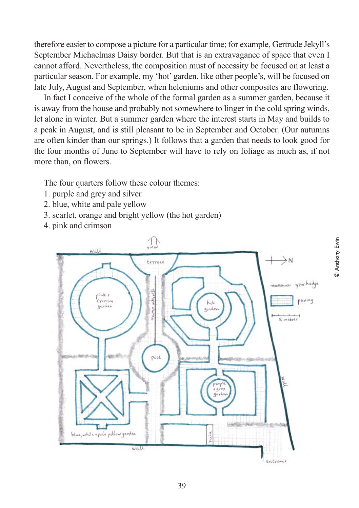therefore easier to compose a picture for a particular time; for example, Gertrude Jekyll's September Michaelmas Daisy border. But that is an extravagance of space that even I cannot afford. Nevertheless, the composition must of necessity be focused on at least a particular season. For example, my 'hot' garden, like other people's, will be focused on late July, August and September, when heleniums and other composites are flowering.

In fact I conceive of the whole of the formal garden as a summer garden, because it is away from the house and probably not somewhere to linger in the cold spring winds, let alone in winter. But a summer garden where the interest starts in May and builds to a peak in August, and is still pleasant to be in September and October. (Our autumns are often kinder than our springs.) It follows that a garden that needs to look good for the four months of June to September will have to rely on foliage as much as, if not more than, on flowers.

The four quarters follow these colour themes:

- 1. purple and grey and silver
- 2. blue, white and pale yellow
- 3. scarlet, orange and bright yellow (the hot garden)
- 4. pink and crimson

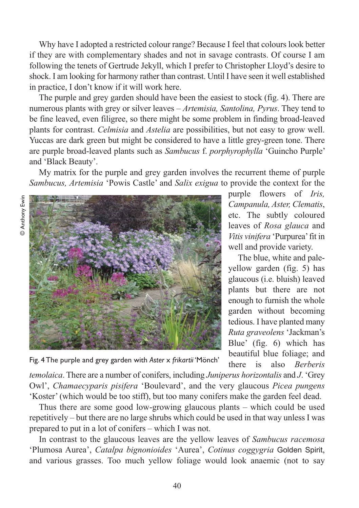Why have I adopted a restricted colour range? Because I feel that colours look better if they are with complementary shades and not in savage contrasts. Of course I am following the tenets of Gertrude Jekyll, which I prefer to Christopher Lloyd's desire to shock. I am looking for harmony rather than contrast. Until I have seen it well established in practice, I don't know if it will work here.

The purple and grey garden should have been the easiest to stock (fig. 4). There are numerous plants with grey or silver leaves – *Artemisia, Santolina, Pyrus*. They tend to be fine leaved, even filigree, so there might be some problem in finding broad-leaved plants for contrast. *Celmisia* and *Astelia* are possibilities, but not easy to grow well. Yuccas are dark green but might be considered to have a little grey-green tone. There are purple broad-leaved plants such as *Sambucus* f. *porphyrophylla* 'Guincho Purple' and 'Black Beauty'.

My matrix for the purple and grey garden involves the recurrent theme of purple *Sambucus, Artemisia* 'Powis Castle' and *Salix exigua* to provide the context for the



purple flowers of *Iris, Campanula, Aster, Clematis*, etc. The subtly coloured leaves of *Rosa glauca* and *Vitis vinifera* 'Purpurea' fit in well and provide variety.

The blue, white and paleyellow garden (fig. 5) has glaucous (i.e. bluish) leaved plants but there are not enough to furnish the whole garden without becoming tedious. I have planted many *Ruta graveolens* 'Jackman's Blue' (fig. 6) which has beautiful blue foliage; and there is also *Berberis*

Fig. 4 The purple and grey garden with *Aster* x *frikartii* 'Mönch'

*temolaica*. There are a number of conifers, including *Juniperus horizontalis* and *J*. 'Grey Owl', *Chamaecyparis pisifera* 'Boulevard', and the very glaucous *Picea pungens* 'Koster' (which would be too stiff), but too many conifers make the garden feel dead.

Thus there are some good low-growing glaucous plants – which could be used repetitively – but there are no large shrubs which could be used in that way unless I was prepared to put in a lot of conifers – which I was not.

In contrast to the glaucous leaves are the yellow leaves of *Sambucus racemosa* 'Plumosa Aurea', *Catalpa bignonioides* 'Aurea', *Cotinus coggygria* Golden Spirit, and various grasses. Too much yellow foliage would look anaemic (not to say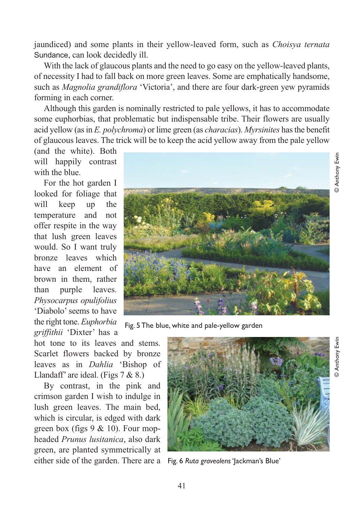jaundiced) and some plants in their yellow-leaved form, such as *Choisya ternata* Sundance, can look decidedly ill.

With the lack of glaucous plants and the need to go easy on the yellow-leaved plants, of necessity I had to fall back on more green leaves. Some are emphatically handsome, such as *Magnolia grandiflora* 'Victoria', and there are four dark-green yew pyramids forming in each corner.

Although this garden is nominally restricted to pale yellows, it has to accommodate some euphorbias, that problematic but indispensable tribe. Their flowers are usually acid yellow (as in *E. polychroma*) or lime green (as *characias*). *Myrsinites* has the benefit of glaucous leaves. The trick will be to keep the acid yellow away from the pale yellow

(and the white). Both will happily contrast with the blue.

For the hot garden I looked for foliage that will keep up the temperature and not offer respite in the way that lush green leaves would. So I want truly bronze leaves which have an element of brown in them, rather than purple leaves. *Physocarpus opulifolius* 'Diabolo' seems to have the right tone. *Euphorbia griffithii* 'Dixter' has a

Fig. 5 The blue, white and pale-yellow garden

hot tone to its leaves and stems. Scarlet flowers backed by bronze leaves as in *Dahlia* 'Bishop of Llandaff' are ideal. (Figs 7 & 8.)

By contrast, in the pink and crimson garden I wish to indulge in lush green leaves. The main bed, which is circular, is edged with dark green box (figs  $9 \& 10$ ). Four mopheaded *Prunus lusitanica*, also dark green, are planted symmetrically at either side of the garden. There are a Fig. 6 *Ruta graveolens* 'Jackman's Blue'



© Anthony Ewin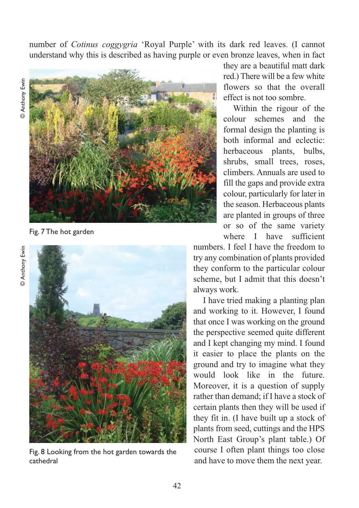number of *Cotinus coggygria* 'Royal Purple' with its dark red leaves. (I cannot understand why this is described as having purple or even bronze leaves, when in fact



Fig. 7 The hot garden



Fig. 8 Looking from the hot garden towards the cathedral

they are a beautiful matt dark red.) There will be a few white flowers so that the overall effect is not too sombre.

Within the rigour of the colour schemes and the formal design the planting is both informal and eclectic: herbaceous plants, bulbs, shrubs, small trees, roses, climbers. Annuals are used to fill the gaps and provide extra colour, particularly for later in the season. Herbaceous plants are planted in groups of three or so of the same variety where I have sufficient

numbers. I feel I have the freedom to try any combination of plants provided they conform to the particular colour scheme, but I admit that this doesn't always work.

I have tried making a planting plan and working to it. However, I found that once I was working on the ground the perspective seemed quite different and I kept changing my mind. I found it easier to place the plants on the ground and try to imagine what they would look like in the future. Moreover, it is a question of supply rather than demand; if I have a stock of certain plants then they will be used if they fit in. (I have built up a stock of plants from seed, cuttings and the HPS North East Group's plant table.) Of course I often plant things too close and have to move them the next year.